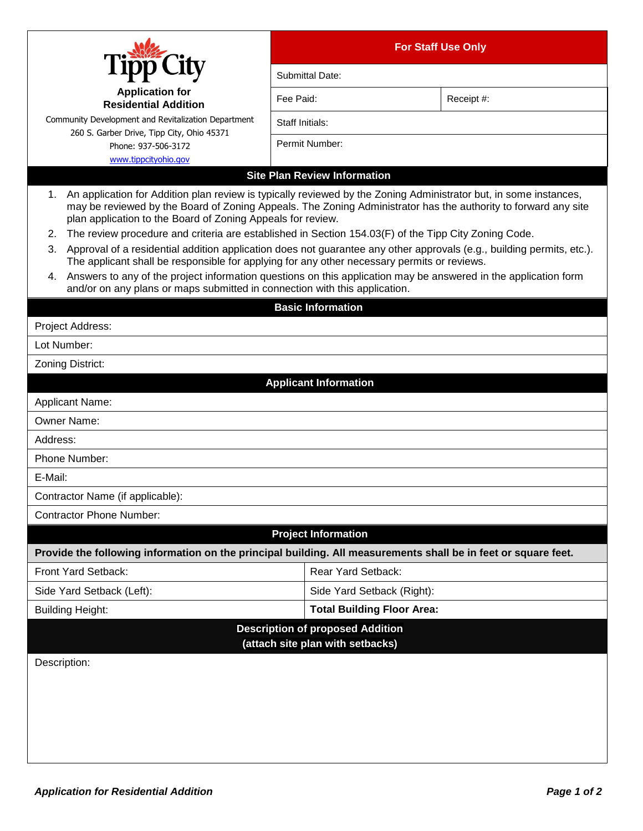|                                                                                                                                                                                                                                                                                                                                                                                                                                                                                                                                                                                                                                                | <b>For Staff Use Only</b>         |            |  |  |  |
|------------------------------------------------------------------------------------------------------------------------------------------------------------------------------------------------------------------------------------------------------------------------------------------------------------------------------------------------------------------------------------------------------------------------------------------------------------------------------------------------------------------------------------------------------------------------------------------------------------------------------------------------|-----------------------------------|------------|--|--|--|
|                                                                                                                                                                                                                                                                                                                                                                                                                                                                                                                                                                                                                                                | Submittal Date:                   |            |  |  |  |
| <b>Application for</b><br><b>Residential Addition</b>                                                                                                                                                                                                                                                                                                                                                                                                                                                                                                                                                                                          | Fee Paid:                         | Receipt #: |  |  |  |
| Community Development and Revitalization Department                                                                                                                                                                                                                                                                                                                                                                                                                                                                                                                                                                                            | Staff Initials:                   |            |  |  |  |
| 260 S. Garber Drive, Tipp City, Ohio 45371<br>Phone: 937-506-3172                                                                                                                                                                                                                                                                                                                                                                                                                                                                                                                                                                              | Permit Number:                    |            |  |  |  |
| www.tippcityohio.gov                                                                                                                                                                                                                                                                                                                                                                                                                                                                                                                                                                                                                           |                                   |            |  |  |  |
| <b>Site Plan Review Information</b>                                                                                                                                                                                                                                                                                                                                                                                                                                                                                                                                                                                                            |                                   |            |  |  |  |
| 1. An application for Addition plan review is typically reviewed by the Zoning Administrator but, in some instances,<br>may be reviewed by the Board of Zoning Appeals. The Zoning Administrator has the authority to forward any site<br>plan application to the Board of Zoning Appeals for review.<br>The review procedure and criteria are established in Section 154.03(F) of the Tipp City Zoning Code.<br>2.<br>3. Approval of a residential addition application does not guarantee any other approvals (e.g., building permits, etc.).<br>The applicant shall be responsible for applying for any other necessary permits or reviews. |                                   |            |  |  |  |
| 4. Answers to any of the project information questions on this application may be answered in the application form<br>and/or on any plans or maps submitted in connection with this application.                                                                                                                                                                                                                                                                                                                                                                                                                                               |                                   |            |  |  |  |
| <b>Basic Information</b>                                                                                                                                                                                                                                                                                                                                                                                                                                                                                                                                                                                                                       |                                   |            |  |  |  |
| Project Address:                                                                                                                                                                                                                                                                                                                                                                                                                                                                                                                                                                                                                               |                                   |            |  |  |  |
| Lot Number:                                                                                                                                                                                                                                                                                                                                                                                                                                                                                                                                                                                                                                    |                                   |            |  |  |  |
| Zoning District:                                                                                                                                                                                                                                                                                                                                                                                                                                                                                                                                                                                                                               |                                   |            |  |  |  |
|                                                                                                                                                                                                                                                                                                                                                                                                                                                                                                                                                                                                                                                | <b>Applicant Information</b>      |            |  |  |  |
| <b>Applicant Name:</b>                                                                                                                                                                                                                                                                                                                                                                                                                                                                                                                                                                                                                         |                                   |            |  |  |  |
| <b>Owner Name:</b>                                                                                                                                                                                                                                                                                                                                                                                                                                                                                                                                                                                                                             |                                   |            |  |  |  |
| Address:                                                                                                                                                                                                                                                                                                                                                                                                                                                                                                                                                                                                                                       |                                   |            |  |  |  |
| Phone Number:                                                                                                                                                                                                                                                                                                                                                                                                                                                                                                                                                                                                                                  |                                   |            |  |  |  |
| E-Mail:                                                                                                                                                                                                                                                                                                                                                                                                                                                                                                                                                                                                                                        |                                   |            |  |  |  |
| Contractor Name (if applicable):                                                                                                                                                                                                                                                                                                                                                                                                                                                                                                                                                                                                               |                                   |            |  |  |  |
| <b>Contractor Phone Number:</b>                                                                                                                                                                                                                                                                                                                                                                                                                                                                                                                                                                                                                |                                   |            |  |  |  |
| <b>Project Information</b>                                                                                                                                                                                                                                                                                                                                                                                                                                                                                                                                                                                                                     |                                   |            |  |  |  |
| Provide the following information on the principal building. All measurements shall be in feet or square feet.                                                                                                                                                                                                                                                                                                                                                                                                                                                                                                                                 |                                   |            |  |  |  |
| Front Yard Setback:                                                                                                                                                                                                                                                                                                                                                                                                                                                                                                                                                                                                                            | Rear Yard Setback:                |            |  |  |  |
| Side Yard Setback (Left):                                                                                                                                                                                                                                                                                                                                                                                                                                                                                                                                                                                                                      | Side Yard Setback (Right):        |            |  |  |  |
| <b>Building Height:</b>                                                                                                                                                                                                                                                                                                                                                                                                                                                                                                                                                                                                                        | <b>Total Building Floor Area:</b> |            |  |  |  |
| <b>Description of proposed Addition</b>                                                                                                                                                                                                                                                                                                                                                                                                                                                                                                                                                                                                        |                                   |            |  |  |  |
| (attach site plan with setbacks)                                                                                                                                                                                                                                                                                                                                                                                                                                                                                                                                                                                                               |                                   |            |  |  |  |
| Description:                                                                                                                                                                                                                                                                                                                                                                                                                                                                                                                                                                                                                                   |                                   |            |  |  |  |
|                                                                                                                                                                                                                                                                                                                                                                                                                                                                                                                                                                                                                                                |                                   |            |  |  |  |
|                                                                                                                                                                                                                                                                                                                                                                                                                                                                                                                                                                                                                                                |                                   |            |  |  |  |
|                                                                                                                                                                                                                                                                                                                                                                                                                                                                                                                                                                                                                                                |                                   |            |  |  |  |